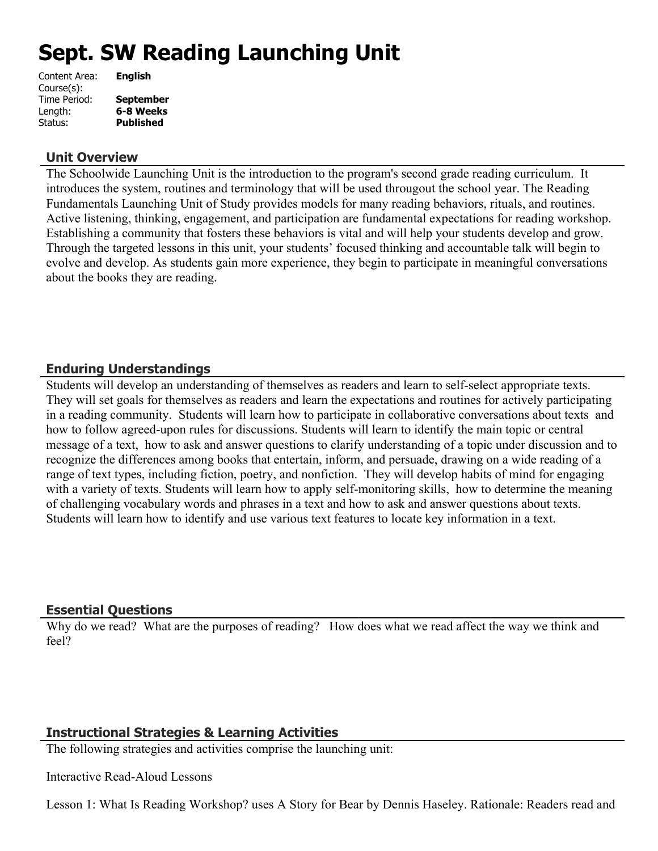# **Sept. SW Reading Launching Unit**

| Content Area: | <b>English</b>   |
|---------------|------------------|
| Course(s):    |                  |
| Time Period:  | <b>September</b> |
| Length:       | 6-8 Weeks        |
| Status:       | <b>Published</b> |
|               |                  |

#### **Unit Overview**

The Schoolwide Launching Unit is the introduction to the program's second grade reading curriculum. It introduces the system, routines and terminology that will be used througout the school year. The Reading Fundamentals Launching Unit of Study provides models for many reading behaviors, rituals, and routines. Active listening, thinking, engagement, and participation are fundamental expectations for reading workshop. Establishing a community that fosters these behaviors is vital and will help your students develop and grow. Through the targeted lessons in this unit, your students' focused thinking and accountable talk will begin to evolve and develop. As students gain more experience, they begin to participate in meaningful conversations about the books they are reading.

## **Enduring Understandings**

Students will develop an understanding of themselves as readers and learn to self-select appropriate texts. They will set goals for themselves as readers and learn the expectations and routines for actively participating in a reading community. Students will learn how to participate in collaborative conversations about texts and how to follow agreed-upon rules for discussions. Students will learn to identify the main topic or central message of a text, how to ask and answer questions to clarify understanding of a topic under discussion and to recognize the differences among books that entertain, inform, and persuade, drawing on a wide reading of a range of text types, including fiction, poetry, and nonfiction. They will develop habits of mind for engaging with a variety of texts. Students will learn how to apply self-monitoring skills, how to determine the meaning of challenging vocabulary words and phrases in a text and how to ask and answer questions about texts. Students will learn how to identify and use various text features to locate key information in a text.

## **Essential Questions**

Why do we read? What are the purposes of reading? How does what we read affect the way we think and feel?

## **Instructional Strategies & Learning Activities**

The following strategies and activities comprise the launching unit:

Interactive Read-Aloud Lessons

Lesson 1: What Is Reading Workshop? uses A Story for Bear by Dennis Haseley. Rationale: Readers read and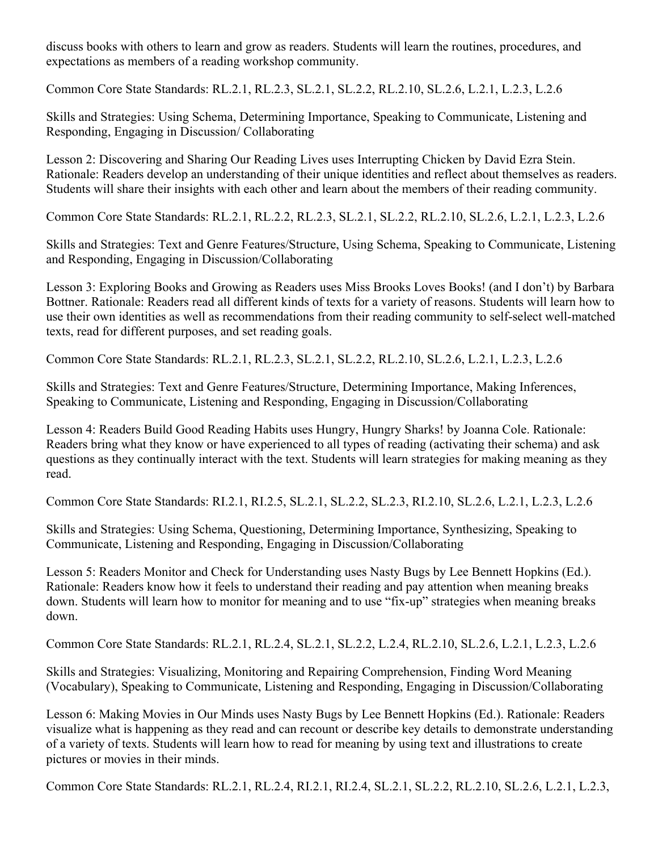discuss books with others to learn and grow as readers. Students will learn the routines, procedures, and expectations as members of a reading workshop community.

Common Core State Standards: RL.2.1, RL.2.3, SL.2.1, SL.2.2, RL.2.10, SL.2.6, L.2.1, L.2.3, L.2.6

Skills and Strategies: Using Schema, Determining Importance, Speaking to Communicate, Listening and Responding, Engaging in Discussion/ Collaborating

Lesson 2: Discovering and Sharing Our Reading Lives uses Interrupting Chicken by David Ezra Stein. Rationale: Readers develop an understanding of their unique identities and reflect about themselves as readers. Students will share their insights with each other and learn about the members of their reading community.

Common Core State Standards: RL.2.1, RL.2.2, RL.2.3, SL.2.1, SL.2.2, RL.2.10, SL.2.6, L.2.1, L.2.3, L.2.6

Skills and Strategies: Text and Genre Features/Structure, Using Schema, Speaking to Communicate, Listening and Responding, Engaging in Discussion/Collaborating

Lesson 3: Exploring Books and Growing as Readers uses Miss Brooks Loves Books! (and I don't) by Barbara Bottner. Rationale: Readers read all different kinds of texts for a variety of reasons. Students will learn how to use their own identities as well as recommendations from their reading community to self-select well-matched texts, read for different purposes, and set reading goals.

Common Core State Standards: RL.2.1, RL.2.3, SL.2.1, SL.2.2, RL.2.10, SL.2.6, L.2.1, L.2.3, L.2.6

Skills and Strategies: Text and Genre Features/Structure, Determining Importance, Making Inferences, Speaking to Communicate, Listening and Responding, Engaging in Discussion/Collaborating

Lesson 4: Readers Build Good Reading Habits uses Hungry, Hungry Sharks! by Joanna Cole. Rationale: Readers bring what they know or have experienced to all types of reading (activating their schema) and ask questions as they continually interact with the text. Students will learn strategies for making meaning as they read.

Common Core State Standards: RI.2.1, RI.2.5, SL.2.1, SL.2.2, SL.2.3, RI.2.10, SL.2.6, L.2.1, L.2.3, L.2.6

Skills and Strategies: Using Schema, Questioning, Determining Importance, Synthesizing, Speaking to Communicate, Listening and Responding, Engaging in Discussion/Collaborating

Lesson 5: Readers Monitor and Check for Understanding uses Nasty Bugs by Lee Bennett Hopkins (Ed.). Rationale: Readers know how it feels to understand their reading and pay attention when meaning breaks down. Students will learn how to monitor for meaning and to use "fix-up" strategies when meaning breaks down.

Common Core State Standards: RL.2.1, RL.2.4, SL.2.1, SL.2.2, L.2.4, RL.2.10, SL.2.6, L.2.1, L.2.3, L.2.6

Skills and Strategies: Visualizing, Monitoring and Repairing Comprehension, Finding Word Meaning (Vocabulary), Speaking to Communicate, Listening and Responding, Engaging in Discussion/Collaborating

Lesson 6: Making Movies in Our Minds uses Nasty Bugs by Lee Bennett Hopkins (Ed.). Rationale: Readers visualize what is happening as they read and can recount or describe key details to demonstrate understanding of a variety of texts. Students will learn how to read for meaning by using text and illustrations to create pictures or movies in their minds.

Common Core State Standards: RL.2.1, RL.2.4, RI.2.1, RI.2.4, SL.2.1, SL.2.2, RL.2.10, SL.2.6, L.2.1, L.2.3,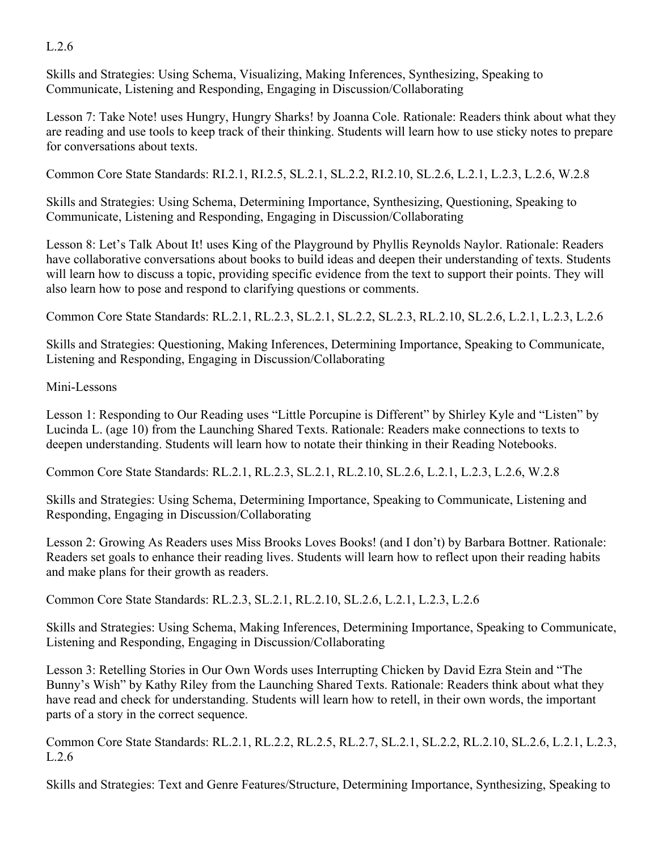## L.2.6

Skills and Strategies: Using Schema, Visualizing, Making Inferences, Synthesizing, Speaking to Communicate, Listening and Responding, Engaging in Discussion/Collaborating

Lesson 7: Take Note! uses Hungry, Hungry Sharks! by Joanna Cole. Rationale: Readers think about what they are reading and use tools to keep track of their thinking. Students will learn how to use sticky notes to prepare for conversations about texts.

Common Core State Standards: RI.2.1, RI.2.5, SL.2.1, SL.2.2, RI.2.10, SL.2.6, L.2.1, L.2.3, L.2.6, W.2.8

Skills and Strategies: Using Schema, Determining Importance, Synthesizing, Questioning, Speaking to Communicate, Listening and Responding, Engaging in Discussion/Collaborating

Lesson 8: Let's Talk About It! uses King of the Playground by Phyllis Reynolds Naylor. Rationale: Readers have collaborative conversations about books to build ideas and deepen their understanding of texts. Students will learn how to discuss a topic, providing specific evidence from the text to support their points. They will also learn how to pose and respond to clarifying questions or comments.

Common Core State Standards: RL.2.1, RL.2.3, SL.2.1, SL.2.2, SL.2.3, RL.2.10, SL.2.6, L.2.1, L.2.3, L.2.6

Skills and Strategies: Questioning, Making Inferences, Determining Importance, Speaking to Communicate, Listening and Responding, Engaging in Discussion/Collaborating

## Mini-Lessons

Lesson 1: Responding to Our Reading uses "Little Porcupine is Different" by Shirley Kyle and "Listen" by Lucinda L. (age 10) from the Launching Shared Texts. Rationale: Readers make connections to texts to deepen understanding. Students will learn how to notate their thinking in their Reading Notebooks.

Common Core State Standards: RL.2.1, RL.2.3, SL.2.1, RL.2.10, SL.2.6, L.2.1, L.2.3, L.2.6, W.2.8

Skills and Strategies: Using Schema, Determining Importance, Speaking to Communicate, Listening and Responding, Engaging in Discussion/Collaborating

Lesson 2: Growing As Readers uses Miss Brooks Loves Books! (and I don't) by Barbara Bottner. Rationale: Readers set goals to enhance their reading lives. Students will learn how to reflect upon their reading habits and make plans for their growth as readers.

Common Core State Standards: RL.2.3, SL.2.1, RL.2.10, SL.2.6, L.2.1, L.2.3, L.2.6

Skills and Strategies: Using Schema, Making Inferences, Determining Importance, Speaking to Communicate, Listening and Responding, Engaging in Discussion/Collaborating

Lesson 3: Retelling Stories in Our Own Words uses Interrupting Chicken by David Ezra Stein and "The Bunny's Wish" by Kathy Riley from the Launching Shared Texts. Rationale: Readers think about what they have read and check for understanding. Students will learn how to retell, in their own words, the important parts of a story in the correct sequence.

Common Core State Standards: RL.2.1, RL.2.2, RL.2.5, RL.2.7, SL.2.1, SL.2.2, RL.2.10, SL.2.6, L.2.1, L.2.3, L.2.6

Skills and Strategies: Text and Genre Features/Structure, Determining Importance, Synthesizing, Speaking to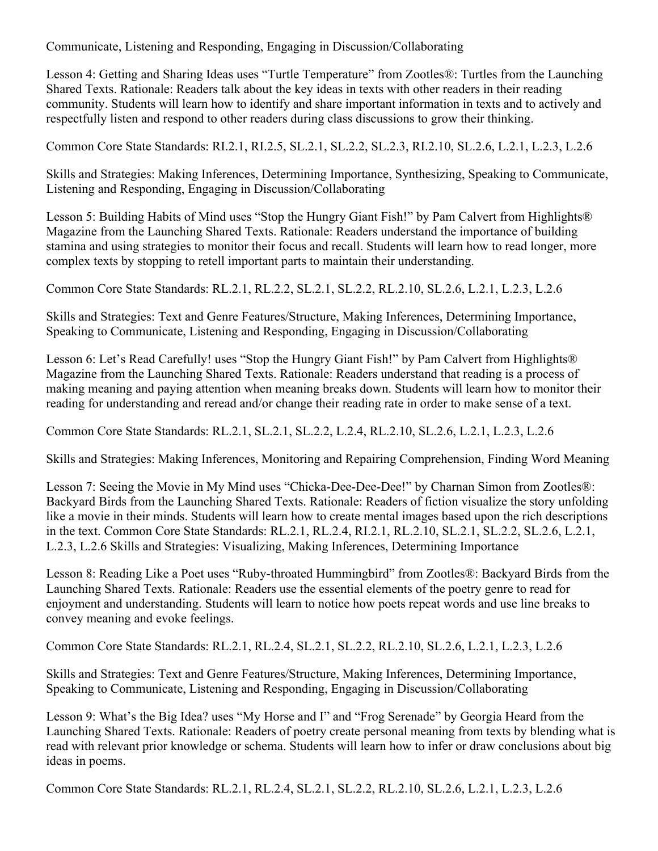Communicate, Listening and Responding, Engaging in Discussion/Collaborating

Lesson 4: Getting and Sharing Ideas uses "Turtle Temperature" from Zootles®: Turtles from the Launching Shared Texts. Rationale: Readers talk about the key ideas in texts with other readers in their reading community. Students will learn how to identify and share important information in texts and to actively and respectfully listen and respond to other readers during class discussions to grow their thinking.

Common Core State Standards: RI.2.1, RI.2.5, SL.2.1, SL.2.2, SL.2.3, RI.2.10, SL.2.6, L.2.1, L.2.3, L.2.6

Skills and Strategies: Making Inferences, Determining Importance, Synthesizing, Speaking to Communicate, Listening and Responding, Engaging in Discussion/Collaborating

Lesson 5: Building Habits of Mind uses "Stop the Hungry Giant Fish!" by Pam Calvert from Highlights® Magazine from the Launching Shared Texts. Rationale: Readers understand the importance of building stamina and using strategies to monitor their focus and recall. Students will learn how to read longer, more complex texts by stopping to retell important parts to maintain their understanding.

Common Core State Standards: RL.2.1, RL.2.2, SL.2.1, SL.2.2, RL.2.10, SL.2.6, L.2.1, L.2.3, L.2.6

Skills and Strategies: Text and Genre Features/Structure, Making Inferences, Determining Importance, Speaking to Communicate, Listening and Responding, Engaging in Discussion/Collaborating

Lesson 6: Let's Read Carefully! uses "Stop the Hungry Giant Fish!" by Pam Calvert from Highlights® Magazine from the Launching Shared Texts. Rationale: Readers understand that reading is a process of making meaning and paying attention when meaning breaks down. Students will learn how to monitor their reading for understanding and reread and/or change their reading rate in order to make sense of a text.

Common Core State Standards: RL.2.1, SL.2.1, SL.2.2, L.2.4, RL.2.10, SL.2.6, L.2.1, L.2.3, L.2.6

Skills and Strategies: Making Inferences, Monitoring and Repairing Comprehension, Finding Word Meaning

Lesson 7: Seeing the Movie in My Mind uses "Chicka-Dee-Dee-Dee!" by Charnan Simon from Zootles®: Backyard Birds from the Launching Shared Texts. Rationale: Readers of fiction visualize the story unfolding like a movie in their minds. Students will learn how to create mental images based upon the rich descriptions in the text. Common Core State Standards: RL.2.1, RL.2.4, RI.2.1, RL.2.10, SL.2.1, SL.2.2, SL.2.6, L.2.1, L.2.3, L.2.6 Skills and Strategies: Visualizing, Making Inferences, Determining Importance

Lesson 8: Reading Like a Poet uses "Ruby-throated Hummingbird" from Zootles®: Backyard Birds from the Launching Shared Texts. Rationale: Readers use the essential elements of the poetry genre to read for enjoyment and understanding. Students will learn to notice how poets repeat words and use line breaks to convey meaning and evoke feelings.

Common Core State Standards: RL.2.1, RL.2.4, SL.2.1, SL.2.2, RL.2.10, SL.2.6, L.2.1, L.2.3, L.2.6

Skills and Strategies: Text and Genre Features/Structure, Making Inferences, Determining Importance, Speaking to Communicate, Listening and Responding, Engaging in Discussion/Collaborating

Lesson 9: What's the Big Idea? uses "My Horse and I" and "Frog Serenade" by Georgia Heard from the Launching Shared Texts. Rationale: Readers of poetry create personal meaning from texts by blending what is read with relevant prior knowledge or schema. Students will learn how to infer or draw conclusions about big ideas in poems.

Common Core State Standards: RL.2.1, RL.2.4, SL.2.1, SL.2.2, RL.2.10, SL.2.6, L.2.1, L.2.3, L.2.6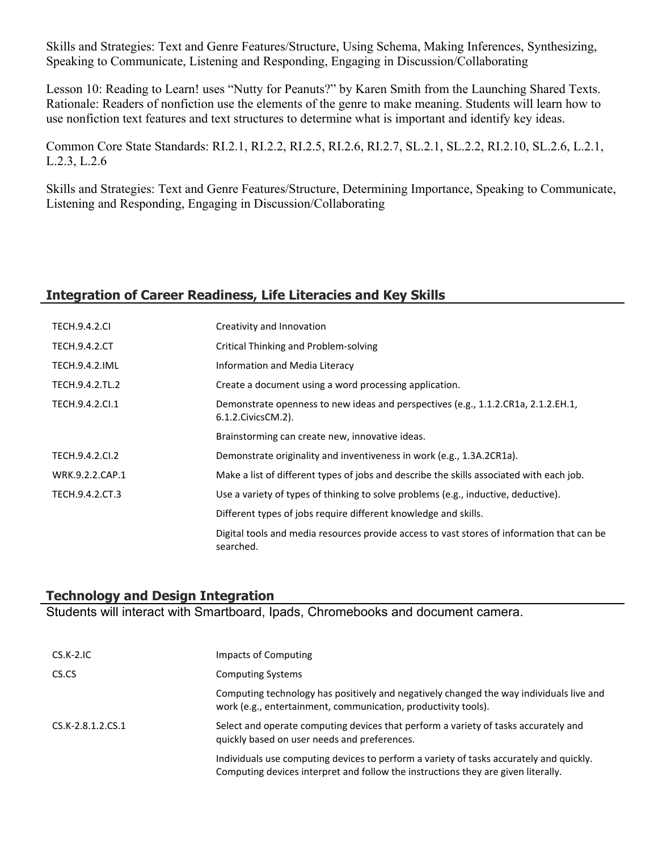Skills and Strategies: Text and Genre Features/Structure, Using Schema, Making Inferences, Synthesizing, Speaking to Communicate, Listening and Responding, Engaging in Discussion/Collaborating

Lesson 10: Reading to Learn! uses "Nutty for Peanuts?" by Karen Smith from the Launching Shared Texts. Rationale: Readers of nonfiction use the elements of the genre to make meaning. Students will learn how to use nonfiction text features and text structures to determine what is important and identify key ideas.

Common Core State Standards: RI.2.1, RI.2.2, RI.2.5, RI.2.6, RI.2.7, SL.2.1, SL.2.2, RI.2.10, SL.2.6, L.2.1, L.2.3, L.2.6

Skills and Strategies: Text and Genre Features/Structure, Determining Importance, Speaking to Communicate, Listening and Responding, Engaging in Discussion/Collaborating

## **Integration of Career Readiness, Life Literacies and Key Skills**

| <b>TECH.9.4.2.CI</b>  | Creativity and Innovation                                                                                  |
|-----------------------|------------------------------------------------------------------------------------------------------------|
| <b>TECH.9.4.2.CT</b>  | Critical Thinking and Problem-solving                                                                      |
| <b>TECH.9.4.2.IML</b> | Information and Media Literacy                                                                             |
| TECH.9.4.2.TL.2       | Create a document using a word processing application.                                                     |
| TECH.9.4.2.Cl.1       | Demonstrate openness to new ideas and perspectives (e.g., 1.1.2.CR1a, 2.1.2.EH.1,<br>6.1.2. Civics CM. 2). |
|                       | Brainstorming can create new, innovative ideas.                                                            |
| TECH.9.4.2.CI.2       | Demonstrate originality and inventiveness in work (e.g., 1.3A.2CR1a).                                      |
| WRK.9.2.2.CAP.1       | Make a list of different types of jobs and describe the skills associated with each job.                   |
| TECH.9.4.2.CT.3       | Use a variety of types of thinking to solve problems (e.g., inductive, deductive).                         |
|                       | Different types of jobs require different knowledge and skills.                                            |
|                       | Digital tools and media resources provide access to vast stores of information that can be<br>searched.    |

#### **Technology and Design Integration**

Students will interact with Smartboard, Ipads, Chromebooks and document camera.

| $CS.K-2.IC$       | Impacts of Computing                                                                                                                                                         |
|-------------------|------------------------------------------------------------------------------------------------------------------------------------------------------------------------------|
| CS.CS             | <b>Computing Systems</b>                                                                                                                                                     |
|                   | Computing technology has positively and negatively changed the way individuals live and<br>work (e.g., entertainment, communication, productivity tools).                    |
| CS.K-2.8.1.2.CS.1 | Select and operate computing devices that perform a variety of tasks accurately and<br>quickly based on user needs and preferences.                                          |
|                   | Individuals use computing devices to perform a variety of tasks accurately and quickly.<br>Computing devices interpret and follow the instructions they are given literally. |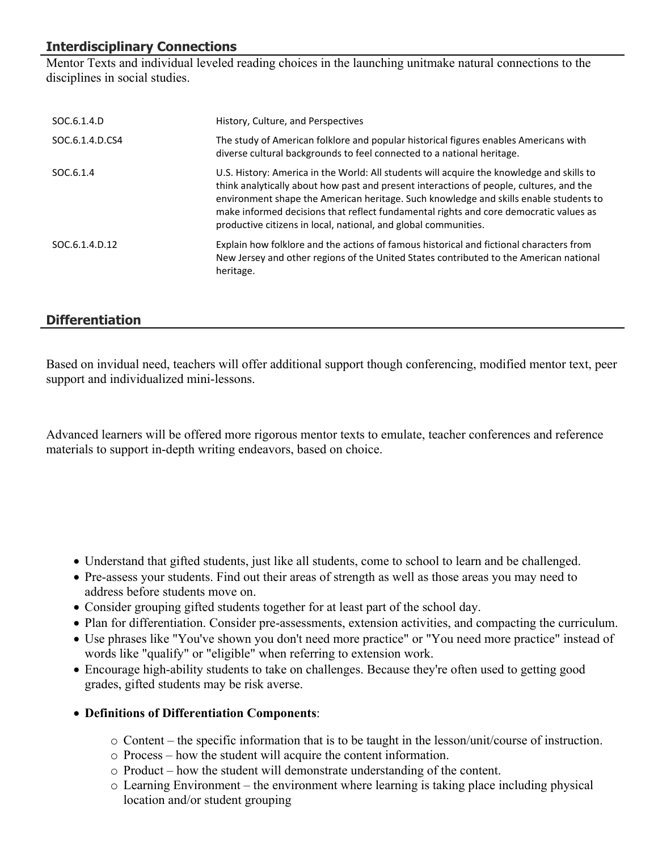# **Interdisciplinary Connections**

Mentor Texts and individual leveled reading choices in the launching unitmake natural connections to the disciplines in social studies.

| SOC.6.1.4.D           | History, Culture, and Perspectives                                                                                                                                                                                                                                                                                                                                                                                                        |
|-----------------------|-------------------------------------------------------------------------------------------------------------------------------------------------------------------------------------------------------------------------------------------------------------------------------------------------------------------------------------------------------------------------------------------------------------------------------------------|
| SOC.6.1.4.D.CS4       | The study of American folklore and popular historical figures enables Americans with<br>diverse cultural backgrounds to feel connected to a national heritage.                                                                                                                                                                                                                                                                            |
| SOC <sub>.6.1.4</sub> | U.S. History: America in the World: All students will acquire the knowledge and skills to<br>think analytically about how past and present interactions of people, cultures, and the<br>environment shape the American heritage. Such knowledge and skills enable students to<br>make informed decisions that reflect fundamental rights and core democratic values as<br>productive citizens in local, national, and global communities. |
| SOC.6.1.4.D.12        | Explain how folklore and the actions of famous historical and fictional characters from<br>New Jersey and other regions of the United States contributed to the American national<br>heritage.                                                                                                                                                                                                                                            |

## **Differentiation**

Based on invidual need, teachers will offer additional support though conferencing, modified mentor text, peer support and individualized mini-lessons.

Advanced learners will be offered more rigorous mentor texts to emulate, teacher conferences and reference materials to support in-depth writing endeavors, based on choice.

- Understand that gifted students, just like all students, come to school to learn and be challenged.
- Pre-assess your students. Find out their areas of strength as well as those areas you may need to address before students move on.
- Consider grouping gifted students together for at least part of the school day.
- Plan for differentiation. Consider pre-assessments, extension activities, and compacting the curriculum.
- Use phrases like "You've shown you don't need more practice" or "You need more practice" instead of words like "qualify" or "eligible" when referring to extension work.
- Encourage high-ability students to take on challenges. Because they're often used to getting good grades, gifted students may be risk averse.
- **Definitions of Differentiation Components**:
	- $\circ$  Content the specific information that is to be taught in the lesson/unit/course of instruction.
	- o Process how the student will acquire the content information.
	- o Product how the student will demonstrate understanding of the content.
	- o Learning Environment the environment where learning is taking place including physical location and/or student grouping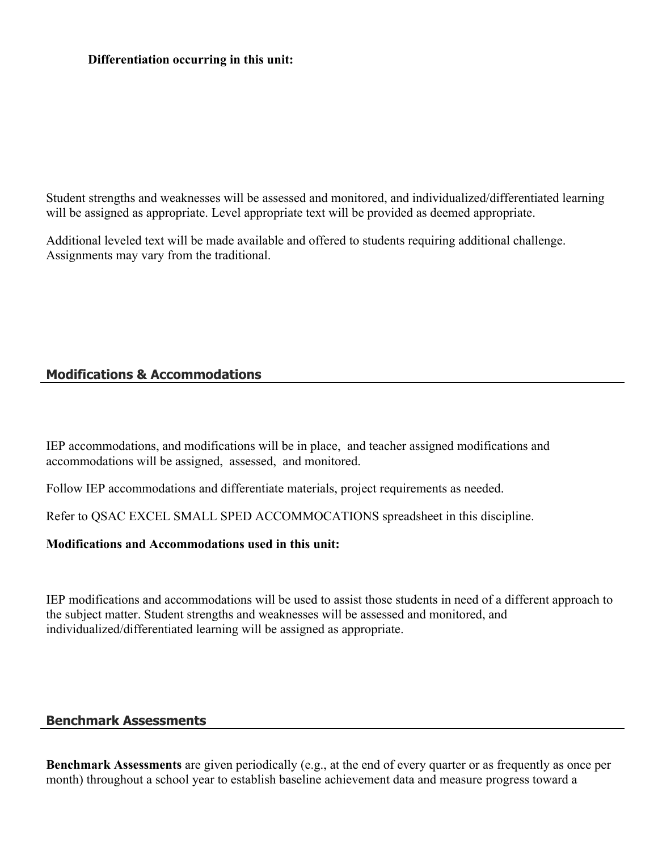#### **Differentiation occurring in this unit:**

Student strengths and weaknesses will be assessed and monitored, and individualized/differentiated learning will be assigned as appropriate. Level appropriate text will be provided as deemed appropriate.

Additional leveled text will be made available and offered to students requiring additional challenge. Assignments may vary from the traditional.

## **Modifications & Accommodations**

IEP accommodations, and modifications will be in place, and teacher assigned modifications and accommodations will be assigned, assessed, and monitored.

Follow IEP accommodations and differentiate materials, project requirements as needed.

Refer to QSAC EXCEL SMALL SPED ACCOMMOCATIONS spreadsheet in this discipline.

#### **Modifications and Accommodations used in this unit:**

IEP modifications and accommodations will be used to assist those students in need of a different approach to the subject matter. Student strengths and weaknesses will be assessed and monitored, and individualized/differentiated learning will be assigned as appropriate.

#### **Benchmark Assessments**

**Benchmark Assessments** are given periodically (e.g., at the end of every quarter or as frequently as once per month) throughout a school year to establish baseline achievement data and measure progress toward a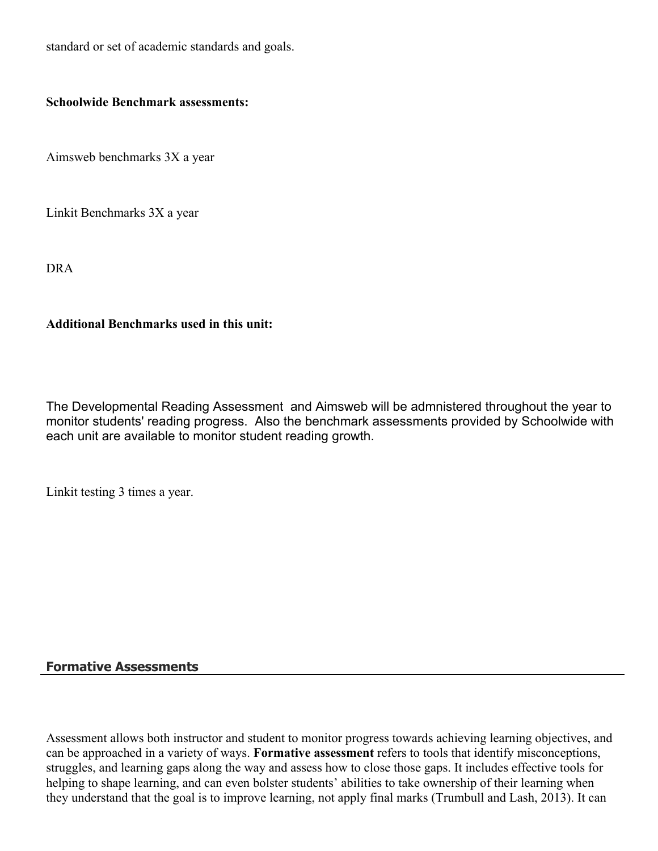standard or set of academic standards and goals.

#### **Schoolwide Benchmark assessments:**

Aimsweb benchmarks 3X a year

Linkit Benchmarks 3X a year

DRA

### **Additional Benchmarks used in this unit:**

The Developmental Reading Assessment and Aimsweb will be admnistered throughout the year to monitor students' reading progress. Also the benchmark assessments provided by Schoolwide with each unit are available to monitor student reading growth.

Linkit testing 3 times a year.

## **Formative Assessments**

Assessment allows both instructor and student to monitor progress towards achieving learning objectives, and can be approached in a variety of ways. **Formative assessment** refers to tools that identify misconceptions, struggles, and learning gaps along the way and assess how to close those gaps. It includes effective tools for helping to shape learning, and can even bolster students' abilities to take ownership of their learning when they understand that the goal is to improve learning, not apply final marks (Trumbull and Lash, 2013). It can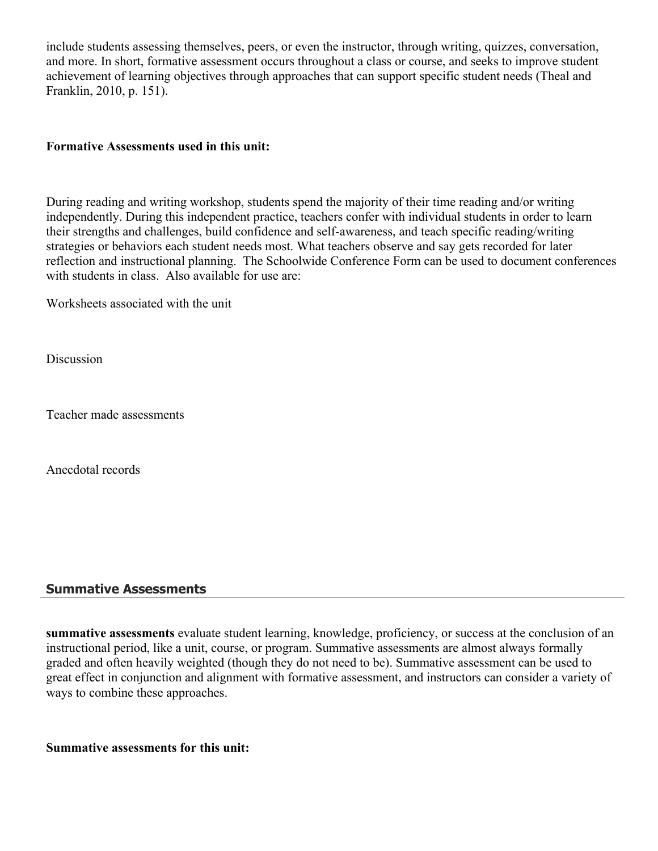include students assessing themselves, peers, or even the instructor, through writing, quizzes, conversation, and more. In short, formative assessment occurs throughout a class or course, and seeks to improve student achievement of learning objectives through approaches that can support specific student needs (Theal and Franklin, 2010, p. 151).

#### **Formative Assessments used in this unit:**

During reading and writing workshop, students spend the majority of their time reading and/or writing independently. During this independent practice, teachers confer with individual students in order to learn their strengths and challenges, build confidence and self-awareness, and teach specific reading/writing strategies or behaviors each student needs most. What teachers observe and say gets recorded for later reflection and instructional planning. The Schoolwide Conference Form can be used to document conferences with students in class. Also available for use are:

Worksheets associated with the unit

Discussion

Teacher made assessments

Anecdotal records

#### **Summative Assessments**

**summative assessments** evaluate student learning, knowledge, proficiency, or success at the conclusion of an instructional period, like a unit, course, or program. Summative assessments are almost always formally graded and often heavily weighted (though they do not need to be). Summative assessment can be used to great effect in conjunction and alignment with formative assessment, and instructors can consider a variety of ways to combine these approaches.

**Summative assessments for this unit:**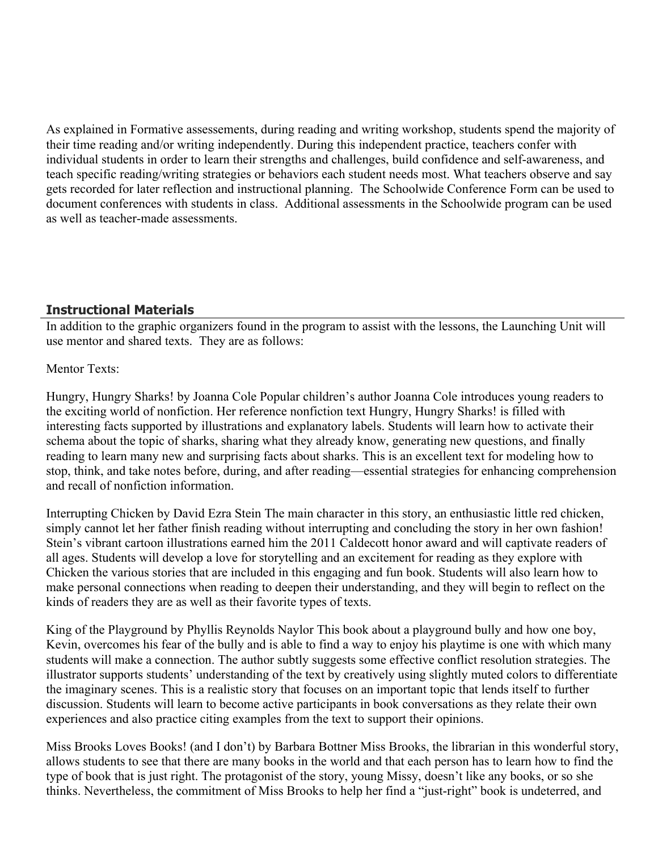As explained in Formative assessements, during reading and writing workshop, students spend the majority of their time reading and/or writing independently. During this independent practice, teachers confer with individual students in order to learn their strengths and challenges, build confidence and self-awareness, and teach specific reading/writing strategies or behaviors each student needs most. What teachers observe and say gets recorded for later reflection and instructional planning. The Schoolwide Conference Form can be used to document conferences with students in class. Additional assessments in the Schoolwide program can be used as well as teacher-made assessments.

## **Instructional Materials**

In addition to the graphic organizers found in the program to assist with the lessons, the Launching Unit will use mentor and shared texts. They are as follows:

#### Mentor Texts:

Hungry, Hungry Sharks! by Joanna Cole Popular children's author Joanna Cole introduces young readers to the exciting world of nonfiction. Her reference nonfiction text Hungry, Hungry Sharks! is filled with interesting facts supported by illustrations and explanatory labels. Students will learn how to activate their schema about the topic of sharks, sharing what they already know, generating new questions, and finally reading to learn many new and surprising facts about sharks. This is an excellent text for modeling how to stop, think, and take notes before, during, and after reading—essential strategies for enhancing comprehension and recall of nonfiction information.

Interrupting Chicken by David Ezra Stein The main character in this story, an enthusiastic little red chicken, simply cannot let her father finish reading without interrupting and concluding the story in her own fashion! Stein's vibrant cartoon illustrations earned him the 2011 Caldecott honor award and will captivate readers of all ages. Students will develop a love for storytelling and an excitement for reading as they explore with Chicken the various stories that are included in this engaging and fun book. Students will also learn how to make personal connections when reading to deepen their understanding, and they will begin to reflect on the kinds of readers they are as well as their favorite types of texts.

King of the Playground by Phyllis Reynolds Naylor This book about a playground bully and how one boy, Kevin, overcomes his fear of the bully and is able to find a way to enjoy his playtime is one with which many students will make a connection. The author subtly suggests some effective conflict resolution strategies. The illustrator supports students' understanding of the text by creatively using slightly muted colors to differentiate the imaginary scenes. This is a realistic story that focuses on an important topic that lends itself to further discussion. Students will learn to become active participants in book conversations as they relate their own experiences and also practice citing examples from the text to support their opinions.

Miss Brooks Loves Books! (and I don't) by Barbara Bottner Miss Brooks, the librarian in this wonderful story, allows students to see that there are many books in the world and that each person has to learn how to find the type of book that is just right. The protagonist of the story, young Missy, doesn't like any books, or so she thinks. Nevertheless, the commitment of Miss Brooks to help her find a "just-right" book is undeterred, and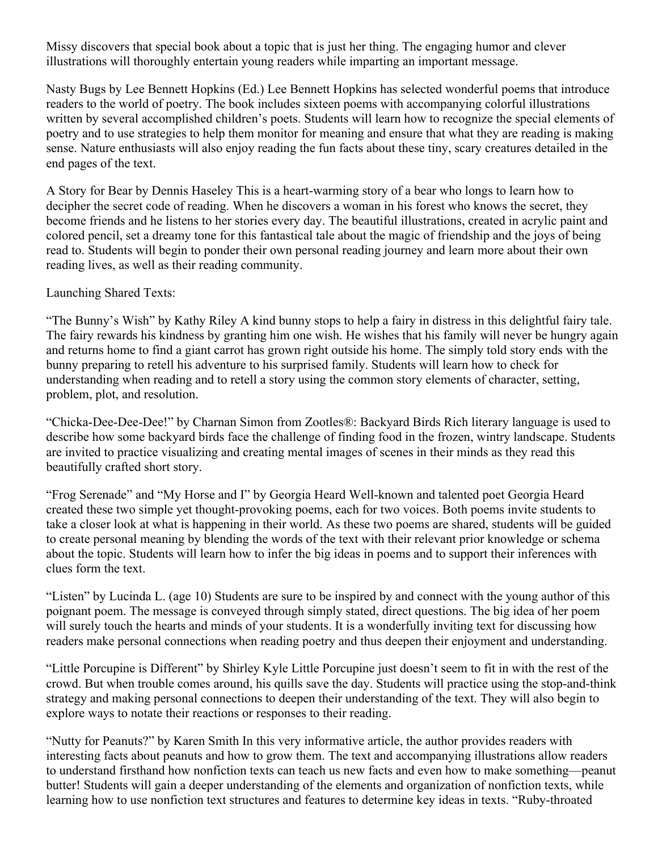Missy discovers that special book about a topic that is just her thing. The engaging humor and clever illustrations will thoroughly entertain young readers while imparting an important message.

Nasty Bugs by Lee Bennett Hopkins (Ed.) Lee Bennett Hopkins has selected wonderful poems that introduce readers to the world of poetry. The book includes sixteen poems with accompanying colorful illustrations written by several accomplished children's poets. Students will learn how to recognize the special elements of poetry and to use strategies to help them monitor for meaning and ensure that what they are reading is making sense. Nature enthusiasts will also enjoy reading the fun facts about these tiny, scary creatures detailed in the end pages of the text.

A Story for Bear by Dennis Haseley This is a heart-warming story of a bear who longs to learn how to decipher the secret code of reading. When he discovers a woman in his forest who knows the secret, they become friends and he listens to her stories every day. The beautiful illustrations, created in acrylic paint and colored pencil, set a dreamy tone for this fantastical tale about the magic of friendship and the joys of being read to. Students will begin to ponder their own personal reading journey and learn more about their own reading lives, as well as their reading community.

Launching Shared Texts:

"The Bunny's Wish" by Kathy Riley A kind bunny stops to help a fairy in distress in this delightful fairy tale. The fairy rewards his kindness by granting him one wish. He wishes that his family will never be hungry again and returns home to find a giant carrot has grown right outside his home. The simply told story ends with the bunny preparing to retell his adventure to his surprised family. Students will learn how to check for understanding when reading and to retell a story using the common story elements of character, setting, problem, plot, and resolution.

"Chicka-Dee-Dee-Dee!" by Charnan Simon from Zootles®: Backyard Birds Rich literary language is used to describe how some backyard birds face the challenge of finding food in the frozen, wintry landscape. Students are invited to practice visualizing and creating mental images of scenes in their minds as they read this beautifully crafted short story.

"Frog Serenade" and "My Horse and I" by Georgia Heard Well-known and talented poet Georgia Heard created these two simple yet thought-provoking poems, each for two voices. Both poems invite students to take a closer look at what is happening in their world. As these two poems are shared, students will be guided to create personal meaning by blending the words of the text with their relevant prior knowledge or schema about the topic. Students will learn how to infer the big ideas in poems and to support their inferences with clues form the text.

"Listen" by Lucinda L. (age 10) Students are sure to be inspired by and connect with the young author of this poignant poem. The message is conveyed through simply stated, direct questions. The big idea of her poem will surely touch the hearts and minds of your students. It is a wonderfully inviting text for discussing how readers make personal connections when reading poetry and thus deepen their enjoyment and understanding.

"Little Porcupine is Different" by Shirley Kyle Little Porcupine just doesn't seem to fit in with the rest of the crowd. But when trouble comes around, his quills save the day. Students will practice using the stop-and-think strategy and making personal connections to deepen their understanding of the text. They will also begin to explore ways to notate their reactions or responses to their reading.

"Nutty for Peanuts?" by Karen Smith In this very informative article, the author provides readers with interesting facts about peanuts and how to grow them. The text and accompanying illustrations allow readers to understand firsthand how nonfiction texts can teach us new facts and even how to make something—peanut butter! Students will gain a deeper understanding of the elements and organization of nonfiction texts, while learning how to use nonfiction text structures and features to determine key ideas in texts. "Ruby-throated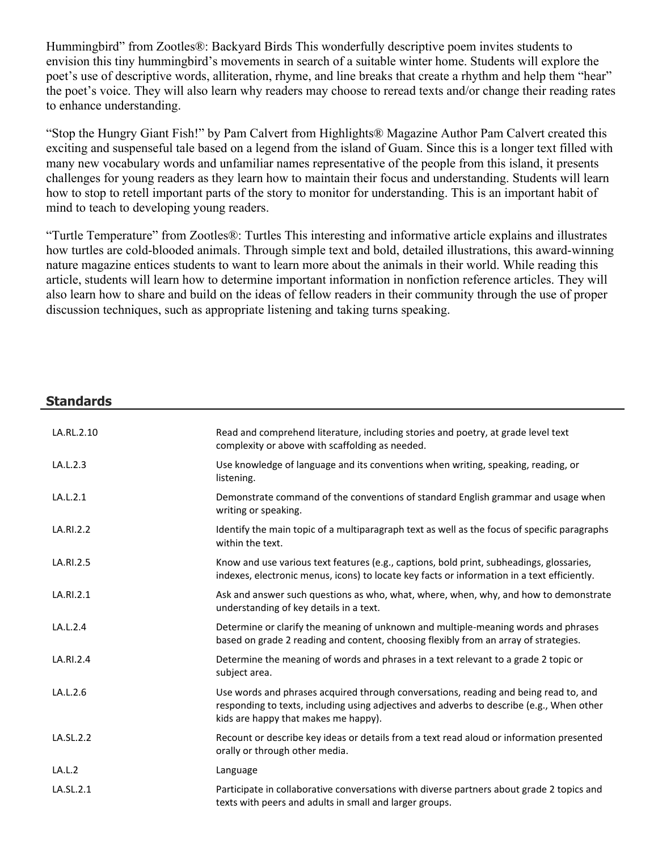Hummingbird" from Zootles®: Backyard Birds This wonderfully descriptive poem invites students to envision this tiny hummingbird's movements in search of a suitable winter home. Students will explore the poet's use of descriptive words, alliteration, rhyme, and line breaks that create a rhythm and help them "hear" the poet's voice. They will also learn why readers may choose to reread texts and/or change their reading rates to enhance understanding.

"Stop the Hungry Giant Fish!" by Pam Calvert from Highlights® Magazine Author Pam Calvert created this exciting and suspenseful tale based on a legend from the island of Guam. Since this is a longer text filled with many new vocabulary words and unfamiliar names representative of the people from this island, it presents challenges for young readers as they learn how to maintain their focus and understanding. Students will learn how to stop to retell important parts of the story to monitor for understanding. This is an important habit of mind to teach to developing young readers.

"Turtle Temperature" from Zootles®: Turtles This interesting and informative article explains and illustrates how turtles are cold-blooded animals. Through simple text and bold, detailed illustrations, this award-winning nature magazine entices students to want to learn more about the animals in their world. While reading this article, students will learn how to determine important information in nonfiction reference articles. They will also learn how to share and build on the ideas of fellow readers in their community through the use of proper discussion techniques, such as appropriate listening and taking turns speaking.

#### **Standards**

| LA.RL.2.10 | Read and comprehend literature, including stories and poetry, at grade level text<br>complexity or above with scaffolding as needed.                                                                                      |
|------------|---------------------------------------------------------------------------------------------------------------------------------------------------------------------------------------------------------------------------|
| LA.L.2.3   | Use knowledge of language and its conventions when writing, speaking, reading, or<br>listening.                                                                                                                           |
| LA.L.2.1   | Demonstrate command of the conventions of standard English grammar and usage when<br>writing or speaking.                                                                                                                 |
| LA.RI.2.2  | Identify the main topic of a multiparagraph text as well as the focus of specific paragraphs<br>within the text.                                                                                                          |
| LA.RI.2.5  | Know and use various text features (e.g., captions, bold print, subheadings, glossaries,<br>indexes, electronic menus, icons) to locate key facts or information in a text efficiently.                                   |
| LA.RI.2.1  | Ask and answer such questions as who, what, where, when, why, and how to demonstrate<br>understanding of key details in a text.                                                                                           |
| LA.L.2.4   | Determine or clarify the meaning of unknown and multiple-meaning words and phrases<br>based on grade 2 reading and content, choosing flexibly from an array of strategies.                                                |
| LA.RI.2.4  | Determine the meaning of words and phrases in a text relevant to a grade 2 topic or<br>subject area.                                                                                                                      |
| LA.L.2.6   | Use words and phrases acquired through conversations, reading and being read to, and<br>responding to texts, including using adjectives and adverbs to describe (e.g., When other<br>kids are happy that makes me happy). |
| LA.SL.2.2  | Recount or describe key ideas or details from a text read aloud or information presented<br>orally or through other media.                                                                                                |
| LA.L.2     | Language                                                                                                                                                                                                                  |
| LA.SL.2.1  | Participate in collaborative conversations with diverse partners about grade 2 topics and<br>texts with peers and adults in small and larger groups.                                                                      |